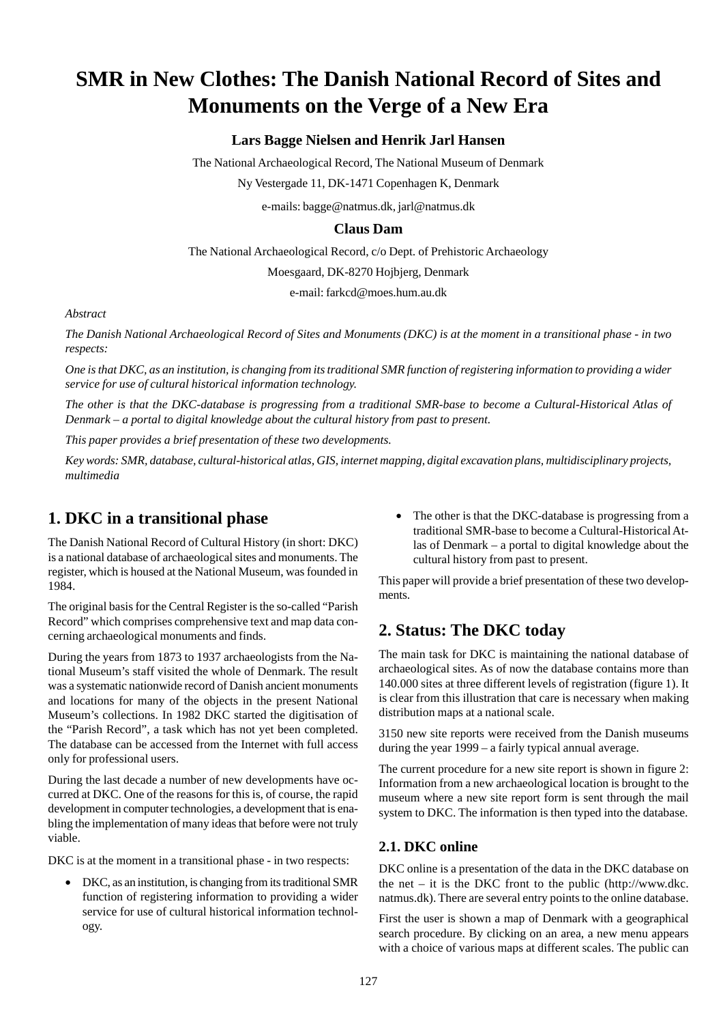# **SMR in New Clothes: The Danish National Record of Sites and Monuments on the Verge of a New Era**

### **Lars Bagge Nielsen and Henrik Jarl Hansen**

The National Archaeological Record, The National Museum of Denmark

Ny Vestergade 11, DK-1471 Copenhagen K, Denmark

e-mails: bagge@natmus.dk, jarl@natmus.dk

#### **Claus Dam**

The National Archaeological Record, c/o Dept. of Prehistoric Archaeology

Moesgaard, DK-8270 Hojbjerg, Denmark

e-mail: farkcd@moes.hum.au.dk

#### *Abstract*

*The Danish National Archaeological Record of Sites and Monuments (DKC) is at the moment in a transitional phase - in two respects:*

*One is that DKC, as an institution, is changing from its traditional SMR function of registering information to providing a wider service for use of cultural historical information technology.*

*The other is that the DKC-database is progressing from a traditional SMR-base to become a Cultural-Historical Atlas of Denmark – a portal to digital knowledge about the cultural history from past to present.*

*This paper provides a brief presentation of these two developments.*

*Key words: SMR, database, cultural-historical atlas, GIS, internet mapping, digital excavation plans, multidisciplinary projects, multimedia*

### **1. DKC in a transitional phase**

The Danish National Record of Cultural History (in short: DKC) is a national database of archaeological sites and monuments. The register, which is housed at the National Museum, was founded in 1984.

The original basis for the Central Register is the so-called "Parish Record" which comprises comprehensive text and map data concerning archaeological monuments and finds.

During the years from 1873 to 1937 archaeologists from the National Museum's staff visited the whole of Denmark. The result was a systematic nationwide record of Danish ancient monuments and locations for many of the objects in the present National Museum's collections. In 1982 DKC started the digitisation of the "Parish Record", a task which has not yet been completed. The database can be accessed from the Internet with full access only for professional users.

During the last decade a number of new developments have occurred at DKC. One of the reasons for this is, of course, the rapid development in computer technologies, a development that is enabling the implementation of many ideas that before were not truly viable.

DKC is at the moment in a transitional phase - in two respects:

• DKC, as an institution, is changing from its traditional SMR function of registering information to providing a wider service for use of cultural historical information technology.

• The other is that the DKC-database is progressing from a traditional SMR-base to become a Cultural-Historical Atlas of Denmark – a portal to digital knowledge about the cultural history from past to present.

This paper will provide a brief presentation of these two developments.

### **2. Status: The DKC today**

The main task for DKC is maintaining the national database of archaeological sites. As of now the database contains more than 140.000 sites at three different levels of registration (figure 1). It is clear from this illustration that care is necessary when making distribution maps at a national scale.

3150 new site reports were received from the Danish museums during the year 1999 – a fairly typical annual average.

The current procedure for a new site report is shown in figure 2: Information from a new archaeological location is brought to the museum where a new site report form is sent through the mail system to DKC. The information is then typed into the database.

#### **2.1. DKC online**

DKC online is a presentation of the data in the DKC database on the net – it is the DKC front to the public (http://www.dkc. natmus.dk). There are several entry points to the online database.

First the user is shown a map of Denmark with a geographical search procedure. By clicking on an area, a new menu appears with a choice of various maps at different scales. The public can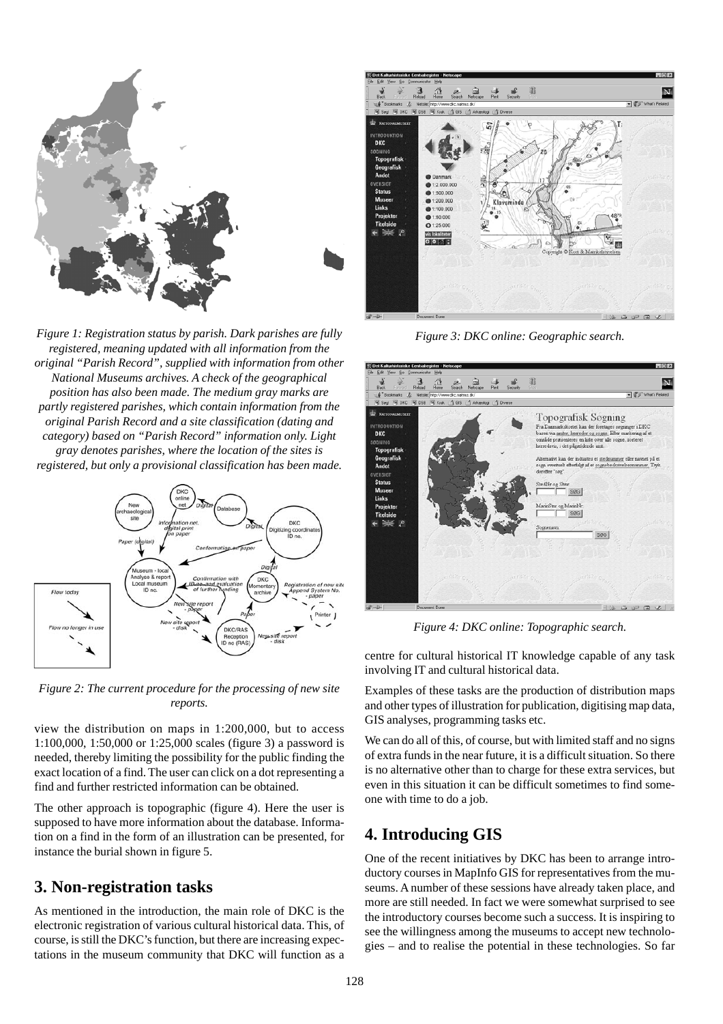

*Figure 1: Registration status by parish. Dark parishes are fully registered, meaning updated with all information from the original "Parish Record", supplied with information from other National Museums archives. A check of the geographical position has also been made. The medium gray marks are partly registered parishes, which contain information from the original Parish Record and a site classification (dating and category) based on "Parish Record" information only. Light gray denotes parishes, where the location of the sites is registered, but only a provisional classification has been made.*





view the distribution on maps in 1:200,000, but to access 1:100,000, 1:50,000 or 1:25,000 scales (figure 3) a password is needed, thereby limiting the possibility for the public finding the exact location of a find. The user can click on a dot representing a find and further restricted information can be obtained.

The other approach is topographic (figure 4). Here the user is supposed to have more information about the database. Information on a find in the form of an illustration can be presented, for instance the burial shown in figure 5.

## **3. Non-registration tasks**

As mentioned in the introduction, the main role of DKC is the electronic registration of various cultural historical data. This, of course, is still the DKC's function, but there are increasing expectations in the museum community that DKC will function as a



*Figure 3: DKC online: Geographic search.*



*Figure 4: DKC online: Topographic search.*

centre for cultural historical IT knowledge capable of any task involving IT and cultural historical data.

Examples of these tasks are the production of distribution maps and other types of illustration for publication, digitising map data, GIS analyses, programming tasks etc.

We can do all of this, of course, but with limited staff and no signs of extra funds in the near future, it is a difficult situation. So there is no alternative other than to charge for these extra services, but even in this situation it can be difficult sometimes to find someone with time to do a job.

## **4. Introducing GIS**

One of the recent initiatives by DKC has been to arrange introductory courses in MapInfo GIS for representatives from the museums. A number of these sessions have already taken place, and more are still needed. In fact we were somewhat surprised to see the introductory courses become such a success. It is inspiring to see the willingness among the museums to accept new technologies – and to realise the potential in these technologies. So far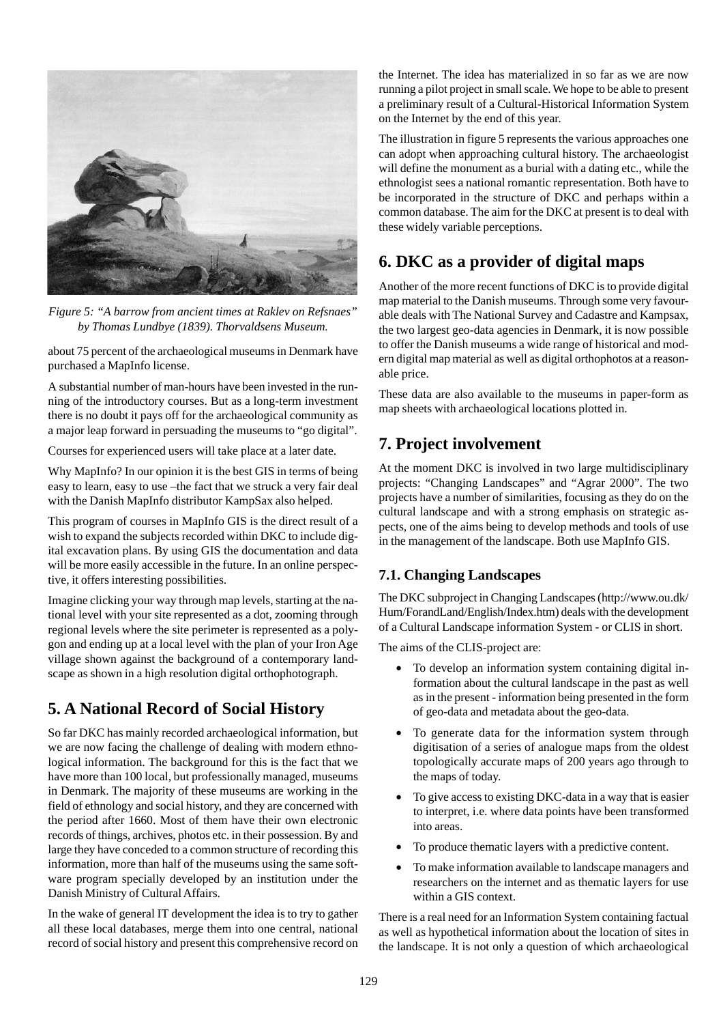

*Figure 5: "A barrow from ancient times at Raklev on Refsnaes" by Thomas Lundbye (1839). Thorvaldsens Museum.*

about 75 percent of the archaeological museums in Denmark have purchased a MapInfo license.

A substantial number of man-hours have been invested in the running of the introductory courses. But as a long-term investment there is no doubt it pays off for the archaeological community as a major leap forward in persuading the museums to "go digital".

Courses for experienced users will take place at a later date.

Why MapInfo? In our opinion it is the best GIS in terms of being easy to learn, easy to use –the fact that we struck a very fair deal with the Danish MapInfo distributor KampSax also helped.

This program of courses in MapInfo GIS is the direct result of a wish to expand the subjects recorded within DKC to include digital excavation plans. By using GIS the documentation and data will be more easily accessible in the future. In an online perspective, it offers interesting possibilities.

Imagine clicking your way through map levels, starting at the national level with your site represented as a dot, zooming through regional levels where the site perimeter is represented as a polygon and ending up at a local level with the plan of your Iron Age village shown against the background of a contemporary landscape as shown in a high resolution digital orthophotograph.

# **5. A National Record of Social History**

So far DKC has mainly recorded archaeological information, but we are now facing the challenge of dealing with modern ethnological information. The background for this is the fact that we have more than 100 local, but professionally managed, museums in Denmark. The majority of these museums are working in the field of ethnology and social history, and they are concerned with the period after 1660. Most of them have their own electronic records of things, archives, photos etc. in their possession. By and large they have conceded to a common structure of recording this information, more than half of the museums using the same software program specially developed by an institution under the Danish Ministry of Cultural Affairs.

In the wake of general IT development the idea is to try to gather all these local databases, merge them into one central, national record of social history and present this comprehensive record on the Internet. The idea has materialized in so far as we are now running a pilot project in small scale. We hope to be able to present a preliminary result of a Cultural-Historical Information System on the Internet by the end of this year.

The illustration in figure 5 represents the various approaches one can adopt when approaching cultural history. The archaeologist will define the monument as a burial with a dating etc., while the ethnologist sees a national romantic representation. Both have to be incorporated in the structure of DKC and perhaps within a common database. The aim for the DKC at present is to deal with these widely variable perceptions.

# **6. DKC as a provider of digital maps**

Another of the more recent functions of DKC is to provide digital map material to the Danish museums. Through some very favourable deals with The National Survey and Cadastre and Kampsax, the two largest geo-data agencies in Denmark, it is now possible to offer the Danish museums a wide range of historical and modern digital map material as well as digital orthophotos at a reasonable price.

These data are also available to the museums in paper-form as map sheets with archaeological locations plotted in.

# **7. Project involvement**

At the moment DKC is involved in two large multidisciplinary projects: "Changing Landscapes" and "Agrar 2000". The two projects have a number of similarities, focusing as they do on the cultural landscape and with a strong emphasis on strategic aspects, one of the aims being to develop methods and tools of use in the management of the landscape. Both use MapInfo GIS.

### **7.1. Changing Landscapes**

The DKC subproject in Changing Landscapes (http://www.ou.dk/ Hum/ForandLand/English/Index.htm) deals with the development of a Cultural Landscape information System - or CLIS in short.

The aims of the CLIS-project are:

- To develop an information system containing digital information about the cultural landscape in the past as well as in the present - information being presented in the form of geo-data and metadata about the geo-data.
- To generate data for the information system through digitisation of a series of analogue maps from the oldest topologically accurate maps of 200 years ago through to the maps of today.
- To give access to existing DKC-data in a way that is easier to interpret, i.e. where data points have been transformed into areas.
- To produce thematic layers with a predictive content.
- To make information available to landscape managers and researchers on the internet and as thematic layers for use within a GIS context.

There is a real need for an Information System containing factual as well as hypothetical information about the location of sites in the landscape. It is not only a question of which archaeological